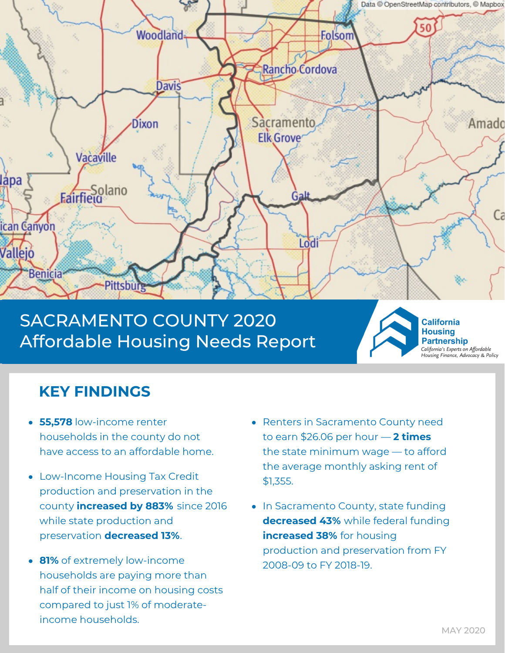

# SACRAMENTO COUNTY 2020 Affordable Housing Needs Report



**California Housing Partnership** California's Experts on Affordable<br>Housing Finance, Advocacy & Policy

## **KEY FINDINGS**

- **55,578** low-income renter households in the county do not have access to an affordable home.
- Low-Income Housing Tax Credit production and preservation in the county **increased by 883%** since 2016 while state production and preservation **decreased 13%**.
- **81%** of extremely low-income households are paying more than half of their income on housing costs compared to just 1% of moderateincome households.
- Renters in Sacramento County need to earn \$26.06 per hour — **2 times** the state minimum wage — to afford the average monthly asking rent of \$1,355.
- In Sacramento County, state funding **decreased 43%** while federal funding **increased 38%** for housing production and preservation from FY 2008-09 to FY 2018-19.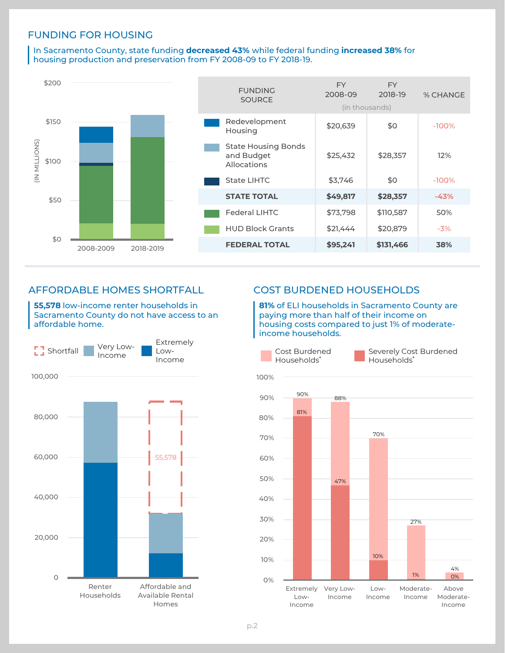### FUNDING FOR HOUSING

In Sacramento County, state funding **decreased 43%** while federal funding **increased 38%** for housing production and preservation from FY 2008-09 to FY 2018-19.



## AFFORDABLE HOMES SHORTFALL

**55,578** low-income renter households in Sacramento County do not have access to an affordable home.



## COST BURDENED HOUSEHOLDS

**81%** of ELI households in Sacramento County are paying more than half of their income on housing costs compared to just 1% of moderateincome households.

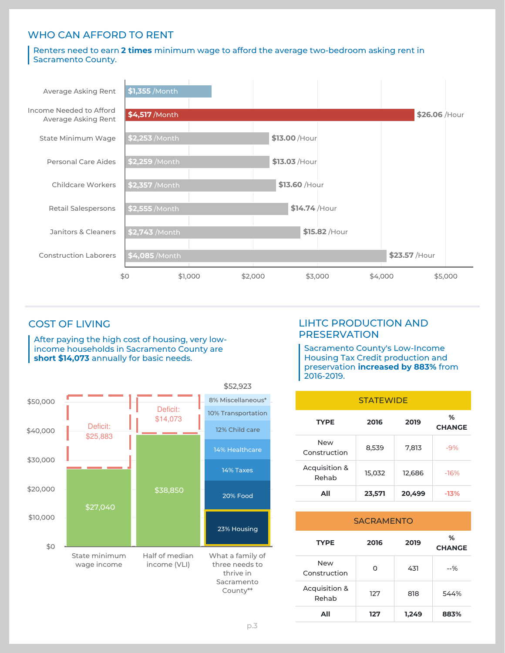## WHO CAN AFFORD TO RENT

#### Renters need to earn **2 times** minimum wage to afford the average two-bedroom asking rent in Sacramento County.



## COST OF LIVING

After paying the high cost of housing, very lowincome households in Sacramento County are **short \$14,073** annually for basic needs.



## LIHTC PRODUCTION AND **PRESERVATION**

Sacramento County's Low-Income Housing Tax Credit production and preservation **increased by 883%** from 2016-2019.

| <b>STATEWIDE</b>           |        |        |                    |  |
|----------------------------|--------|--------|--------------------|--|
| <b>TYPE</b>                | 2016   | 2019   | %<br><b>CHANGE</b> |  |
| <b>New</b><br>Construction | 8,539  | 7,813  | $-9%$              |  |
| Acquisition &<br>Rehab     | 15,032 | 12,686 | $-16%$             |  |
| ΑIΙ                        | 23,571 | 20.499 | -13%               |  |

| <b>SACRAMENTO</b>          |      |       |                    |  |
|----------------------------|------|-------|--------------------|--|
| <b>TYPE</b>                | 2016 | 2019  | %<br><b>CHANGE</b> |  |
| <b>New</b><br>Construction | Ω    | 431   | $-96$              |  |
| Acquisition &<br>Rehab     | 127  | 818   | 544%               |  |
| AII                        | 127  | 1.249 | 883%               |  |